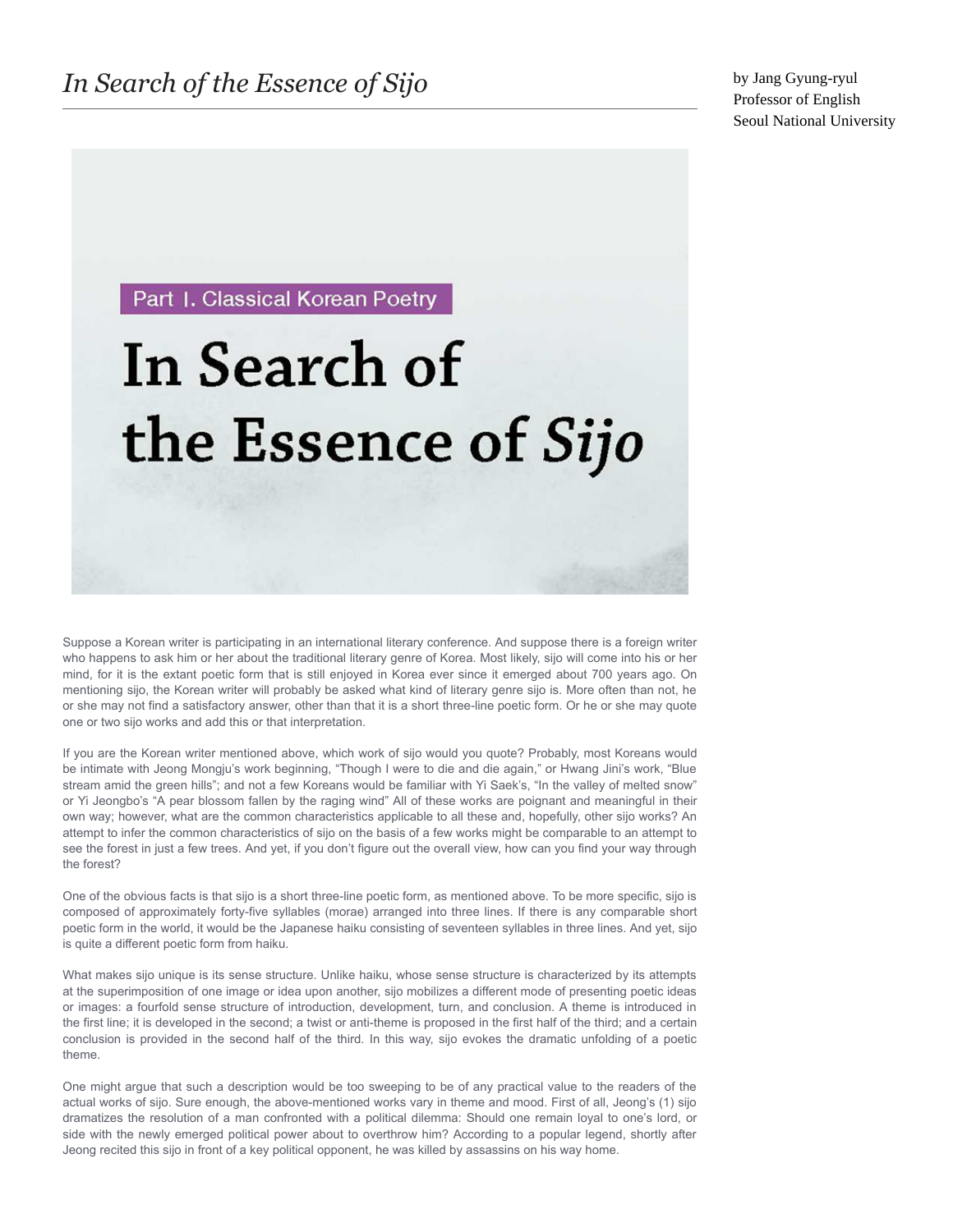Part I. Classical Korean Poetry

## In Search of the Essence of Sijo

Suppose a Korean writer is participating in an international literary conference. And suppose there is a foreign writer who happens to ask him or her about the traditional literary genre of Korea. Most likely, sijo will come into his or her mind, for it is the extant poetic form that is still enjoyed in Korea ever since it emerged about 700 years ago. On mentioning sijo, the Korean writer will probably be asked what kind of literary genre sijo is. More often than not, he or she may not find a satisfactory answer, other than that it is a short three-line poetic form. Or he or she may quote one or two sijo works and add this or that interpretation.

If you are the Korean writer mentioned above, which work of sijo would you quote? Probably, most Koreans would be intimate with Jeong Mongju's work beginning, "Though I were to die and die again," or Hwang Jini's work, "Blue stream amid the green hills"; and not a few Koreans would be familiar with Yi Saek's, "In the valley of melted snow" or Yi Jeongbo's "A pear blossom fallen by the raging wind" All of these works are poignant and meaningful in their own way; however, what are the common characteristics applicable to all these and, hopefully, other sijo works? An attempt to infer the common characteristics of sijo on the basis of a few works might be comparable to an attempt to see the forest in just a few trees. And yet, if you don't figure out the overall view, how can you find your way through the forest?

One of the obvious facts is that sijo is a short three-line poetic form, as mentioned above. To be more specific, sijo is composed of approximately forty-five syllables (morae) arranged into three lines. If there is any comparable short poetic form in the world, it would be the Japanese haiku consisting of seventeen syllables in three lines. And yet, sijo is quite a different poetic form from haiku.

What makes sijo unique is its sense structure. Unlike haiku, whose sense structure is characterized by its attempts at the superimposition of one image or idea upon another, sijo mobilizes a different mode of presenting poetic ideas or images: a fourfold sense structure of introduction, development, turn, and conclusion. A theme is introduced in the first line; it is developed in the second; a twist or anti-theme is proposed in the first half of the third; and a certain conclusion is provided in the second half of the third. In this way, sijo evokes the dramatic unfolding of a poetic theme.

One might argue that such a description would be too sweeping to be of any practical value to the readers of the actual works of sijo. Sure enough, the above-mentioned works vary in theme and mood. First of all, Jeong's (1) sijo dramatizes the resolution of a man confronted with a political dilemma: Should one remain loyal to one's lord, or side with the newly emerged political power about to overthrow him? According to a popular legend, shortly after Jeong recited this sijo in front of a key political opponent, he was killed by assassins on his way home.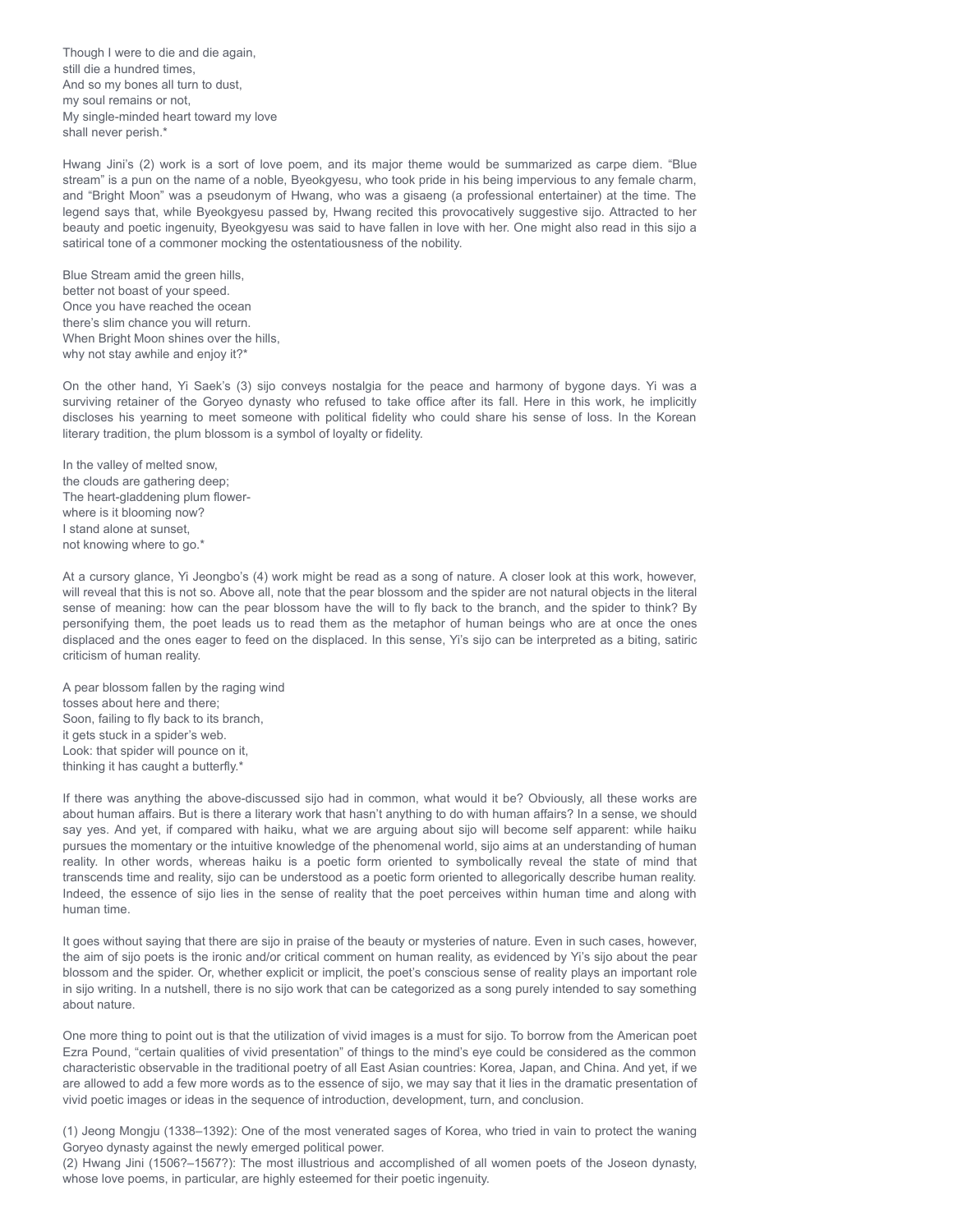Though I were to die and die again, still die a hundred times, And so my bones all turn to dust, my soul remains or not, My single-minded heart toward my love shall never perish.\*

Hwang Jini's (2) work is a sort of love poem, and its major theme would be summarized as carpe diem. "Blue stream" is a pun on the name of a noble, Byeokgyesu, who took pride in his being impervious to any female charm, and "Bright Moon" was a pseudonym of Hwang, who was a gisaeng (a professional entertainer) at the time. The legend says that, while Byeokgyesu passed by, Hwang recited this provocatively suggestive sijo. Attracted to her beauty and poetic ingenuity, Byeokgyesu was said to have fallen in love with her. One might also read in this sijo a satirical tone of a commoner mocking the ostentatiousness of the nobility.

Blue Stream amid the green hills, better not boast of your speed. Once you have reached the ocean there's slim chance you will return. When Bright Moon shines over the hills, why not stay awhile and enjoy it?\*

On the other hand, Yi Saek's (3) sijo conveys nostalgia for the peace and harmony of bygone days. Yi was a surviving retainer of the Goryeo dynasty who refused to take office after its fall. Here in this work, he implicitly discloses his yearning to meet someone with political fidelity who could share his sense of loss. In the Korean literary tradition, the plum blossom is a symbol of loyalty or fidelity.

In the valley of melted snow, the clouds are gathering deep; The heart-gladdening plum flowerwhere is it blooming now? I stand alone at sunset, not knowing where to go.\*

At a cursory glance, Yi Jeongbo's (4) work might be read as a song of nature. A closer look at this work, however, will reveal that this is not so. Above all, note that the pear blossom and the spider are not natural objects in the literal sense of meaning: how can the pear blossom have the will to fly back to the branch, and the spider to think? By personifying them, the poet leads us to read them as the metaphor of human beings who are at once the ones displaced and the ones eager to feed on the displaced. In this sense, Yi's sijo can be interpreted as a biting, satiric criticism of human reality.

A pear blossom fallen by the raging wind tosses about here and there; Soon, failing to fly back to its branch, it gets stuck in a spider's web. Look: that spider will pounce on it, thinking it has caught a butterfly.\*

If there was anything the above-discussed sijo had in common, what would it be? Obviously, all these works are about human affairs. But is there a literary work that hasn't anything to do with human affairs? In a sense, we should say yes. And yet, if compared with haiku, what we are arguing about sijo will become self apparent: while haiku pursues the momentary or the intuitive knowledge of the phenomenal world, sijo aims at an understanding of human reality. In other words, whereas haiku is a poetic form oriented to symbolically reveal the state of mind that transcends time and reality, sijo can be understood as a poetic form oriented to allegorically describe human reality. Indeed, the essence of sijo lies in the sense of reality that the poet perceives within human time and along with human time.

It goes without saying that there are sijo in praise of the beauty or mysteries of nature. Even in such cases, however, the aim of sijo poets is the ironic and/or critical comment on human reality, as evidenced by Yi's sijo about the pear blossom and the spider. Or, whether explicit or implicit, the poet's conscious sense of reality plays an important role in sijo writing. In a nutshell, there is no sijo work that can be categorized as a song purely intended to say something about nature.

One more thing to point out is that the utilization of vivid images is a must for sijo. To borrow from the American poet Ezra Pound, "certain qualities of vivid presentation" of things to the mind's eye could be considered as the common characteristic observable in the traditional poetry of all East Asian countries: Korea, Japan, and China. And yet, if we are allowed to add a few more words as to the essence of sijo, we may say that it lies in the dramatic presentation of vivid poetic images or ideas in the sequence of introduction, development, turn, and conclusion.

(1) Jeong Mongju (1338–1392): One of the most venerated sages of Korea, who tried in vain to protect the waning Goryeo dynasty against the newly emerged political power.

(2) Hwang Jini (1506?–1567?): The most illustrious and accomplished of all women poets of the Joseon dynasty, whose love poems, in particular, are highly esteemed for their poetic ingenuity.